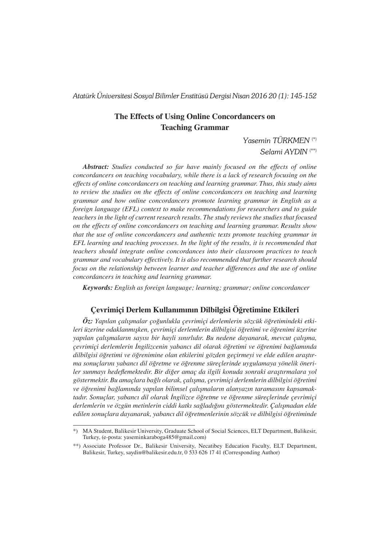*Atatürk Üniversitesi Sosyal Bilimler Enstitüsü Dergisi Nisan 2016 20 (1): 145-152*

# **The Effects of Using Online Concordancers on Teaching Grammar**

*Yasemin TÜRKMEN* (\*) *Selami AYDIN* (\*\*)

*Abstract: Studies conducted so far have mainly focused on the effects of online concordancers on teaching vocabulary, while there is a lack of research focusing on the effects of online concordancers on teaching and learning grammar. Thus, this study aims to review the studies on the effects of online concordancers on teaching and learning grammar and how online concordancers promote learning grammar in English as a foreign language (EFL) context to make recommendations for researchers and to guide teachers in the light of current research results. The study reviews the studies that focused on the effects of online concordancers on teaching and learning grammar. Results show that the use of online concordancers and authentic texts promote teaching grammar in EFL learning and teaching processes. In the light of the results, it is recommended that teachers should integrate online concordances into their classroom practices to teach grammar and vocabulary effectively. It is also recommended that further research should focus on the relationship between learner and teacher differences and the use of online concordancers in teaching and learning grammar.*

*Keywords: English as foreign language; learning; grammar; online concordancer*

## **Çevrimiçi Derlem Kullanımının Dilbilgisi Öğretimine Etkileri**

*Öz: Yapılan çalışmalar çoğunlukla çevrimiçi derlemlerin sözcük öğretimindeki etkileri üzerine odaklanmışken, çevrimiçi derlemlerin dilbilgisi öğretimi ve öğrenimi üzerine yapılan çalışmaların sayısı bir hayli sınırlıdır. Bu nedene dayanarak, mevcut çalışma, çevrimiçi derlemlerin İngilizcenin yabancı dil olarak öğretimi ve öğrenimi bağlamında dilbilgisi öğretimi ve öğrenimine olan etkilerini gözden geçirmeyi ve elde edilen araştırma sonuçlarını yabancı dil öğretme ve öğrenme süreçlerinde uygulamaya yönelik öneriler sunmayı hedeflemektedir. Bir diğer amaç da ilgili konuda sonraki araştırmalara yol göstermektir. Bu amaçlara bağlı olarak, çalışma, çevrimiçi derlemlerin dilbilgisi öğretimi ve öğrenimi bağlamında yapılan bilimsel çalışmaların alanyazın taramasını kapsamaktadır. Sonuçlar, yabancı dil olarak İngilizce öğretme ve öğrenme süreçlerinde çevrimiçi derlemlerin ve özgün metinlerin ciddi katkı sağladığını göstermektedir. Çalışmadan elde edilen sonuçlara dayanarak, yabancı dil öğretmenlerinin sözcük ve dilbilgisi öğretiminde* 

<sup>\*)</sup> MA Student, Balikesir University, Graduate School of Social Sciences, ELT Department, Balikesir, Turkey, (e-posta: yaseminkaraboga485@gmail.com)

<sup>\*\*)</sup> Associate Professor Dr., Balikesir University, Necatibey Education Faculty, ELT Department, Balikesir, Turkey, saydin@balikesir.edu.tr, 0 533 626 17 41 (Corresponding Author)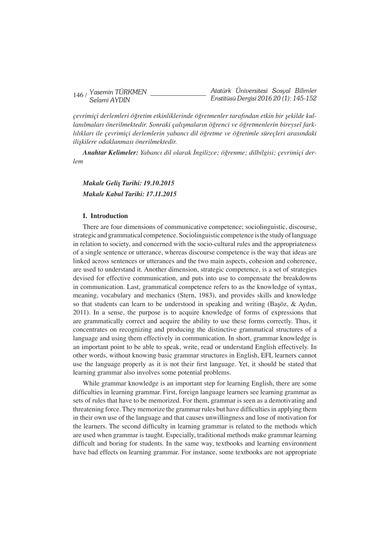|  | $146/$ Yasemin TÜRKMEN |  | Atatürk Universitesi Sosyal Bilimler   |  |
|--|------------------------|--|----------------------------------------|--|
|  | Selami AYDIN           |  | Enstitüsü Dergisi 2016 20 (1): 145-152 |  |

*çevrimiçi derlemleri öğretim etkinliklerinde öğretmenler tarafından etkin bir şekilde kullanılmaları önerilmektedir. Sonraki çalışmaların öğrenci ve öğretmenlerin bireysel farklılıkları ile çevrimiçi derlemlerin yabancı dil öğretme ve öğretimle süreçleri arasındaki ilişkilere odaklanması önerilmektedir.* 

*Anahtar Kelimeler: Yabancı dil olarak İngilizce; öğrenme; dilbilgisi; çevrimiçi derlem* 

*Makale Geliş Tarihi: 19.10.2015 Makale Kabul Tarihi: 17.11.2015*

### **I. Introduction**

There are four dimensions of communicative competence; sociolinguistic, discourse, strategic and grammatical competence.Sociolinguistic competence isthe study oflanguage in relation to society, and concerned with the socio-cultural rules and the appropriateness of a single sentence or utterance, whereas discourse competence is the way that ideas are linked across sentences or utterances and the two main aspects, cohesion and coherence, are used to understand it. Another dimension, strategic competence, is a set of strategies devised for effective communication, and puts into use to compensate the breakdowns in communication. Last, grammatical competence refers to as the knowledge of syntax, meaning, vocabulary and mechanics (Stern, 1983), and provides skills and knowledge so that students can learn to be understood in speaking and writing (Başöz, & Aydın, 2011). In a sense, the purpose is to acquire knowledge of forms of expressions that are grammatically correct and acquire the ability to use these forms correctly. Thus, it concentrates on recognizing and producing the distinctive grammatical structures of a language and using them effectively in communication. In short, grammar knowledge is an important point to be able to speak, write, read or understand English effectively. In other words, without knowing basic grammar structures in English, EFL learners cannot use the language properly as it is not their first language. Yet, it should be stated that learning grammar also involves some potential problems.

While grammar knowledge is an important step for learning English, there are some difficulties in learning grammar. First, foreign language learners see learning grammar as sets of rules that have to be memorized. For them, grammar is seen as a demotivating and threatening force. They memorize the grammar rules but have difficulties in applying them in their own use of the language and that causes unwillingness and lose of motivation for the learners. The second difficulty in learning grammar is related to the methods which are used when grammar is taught. Especially, traditional methods make grammar learning difficult and boring for students. In the same way, textbooks and learning environment have bad effects on learning grammar. For instance, some textbooks are not appropriate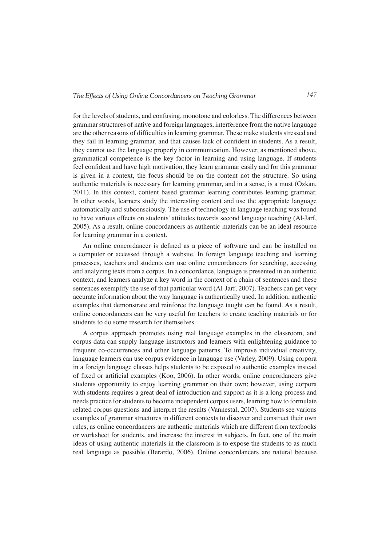for the levels of students, and confusing, monotone and colorless. The differences between grammarstructures of native and foreign languages, interference from the native language are the other reasons of difficulties in learning grammar. These make students stressed and they fail in learning grammar, and that causes lack of confident in students. As a result, they cannot use the language properly in communication. However, as mentioned above, grammatical competence is the key factor in learning and using language. If students feel confident and have high motivation, they learn grammar easily and for this grammar is given in a context, the focus should be on the content not the structure. So using authentic materials is necessary for learning grammar, and in a sense, is a must (Ozkan, 2011). In this context, content based grammar learning contributes learning grammar. In other words, learners study the interesting content and use the appropriate language automatically and subconsciously. The use of technology in language teaching was found to have various effects on students' attitudes towards second language teaching (Al-Jarf, 2005). As a result, online concordancers as authentic materials can be an ideal resource for learning grammar in a context.

An online concordancer is defined as a piece of software and can be installed on a computer or accessed through a website. In foreign language teaching and learning processes, teachers and students can use online concordancers for searching, accessing and analyzing texts from a corpus. In a concordance, language is presented in an authentic context, and learners analyze a key word in the context of a chain of sentences and these sentences exemplify the use of that particular word (Al-Jarf, 2007). Teachers can get very accurate information about the way language is authentically used. In addition, authentic examples that demonstrate and reinforce the language taught can be found. As a result, online concordancers can be very useful for teachers to create teaching materials or for students to do some research for themselves.

A corpus approach promotes using real language examples in the classroom, and corpus data can supply language instructors and learners with enlightening guidance to frequent co-occurrences and other language patterns. To improve individual creativity, language learners can use corpus evidence in language use (Varley, 2009). Using corpora in a foreign language classes helps students to be exposed to authentic examples instead of fixed or artificial examples (Koo, 2006). In other words, online concordancers give students opportunity to enjoy learning grammar on their own; however, using corpora with students requires a great deal of introduction and support as it is a long process and needs practice for students to become independent corpus users, learning how to formulate related corpus questions and interpret the results (Vannestal, 2007). Students see various examples of grammar structures in different contexts to discover and construct their own rules, as online concordancers are authentic materials which are different from textbooks or worksheet for students, and increase the interest in subjects. In fact, one of the main ideas of using authentic materials in the classroom is to expose the students to as much real language as possible (Berardo, 2006). Online concordancers are natural because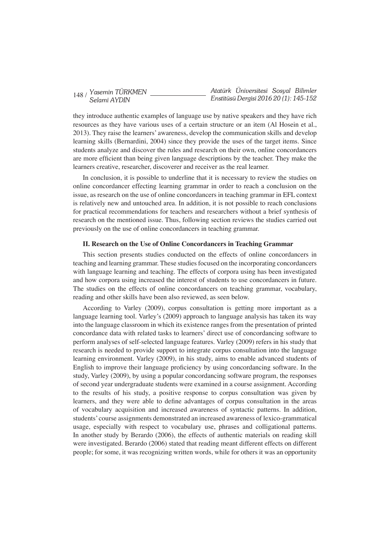|  | 148 / Yasemin TÜRKMEN |  | Atatürk Universitesi Sosyal Bilimler   |  |
|--|-----------------------|--|----------------------------------------|--|
|  | Selami AYDIN          |  | Enstitüsü Dergisi 2016 20 (1): 145-152 |  |

they introduce authentic examples of language use by native speakers and they have rich resources as they have various uses of a certain structure or an item (Al Hosein et al., 2013). They raise the learners' awareness, develop the communication skills and develop learning skills (Bernardini, 2004) since they provide the uses of the target items. Since students analyze and discover the rules and research on their own, online concordancers are more efficient than being given language descriptions by the teacher. They make the learners creative, researcher, discoverer and receiver as the real learner.

In conclusion, it is possible to underline that it is necessary to review the studies on online concordancer effecting learning grammar in order to reach a conclusion on the issue, as research on the use of online concordancers in teaching grammar in EFL context is relatively new and untouched area. In addition, it is not possible to reach conclusions for practical recommendations for teachers and researchers without a brief synthesis of research on the mentioned issue. Thus, following section reviews the studies carried out previously on the use of online concordancers in teaching grammar.

#### **II. Research on the Use of Online Concordancers in Teaching Grammar**

This section presents studies conducted on the effects of online concordancers in teaching and learning grammar. These studiesfocused on the incorporating concordancers with language learning and teaching. The effects of corpora using has been investigated and how corpora using increased the interest of students to use concordancers in future. The studies on the effects of online concordancers on teaching grammar, vocabulary, reading and other skills have been also reviewed, as seen below.

According to Varley (2009), corpus consultation is getting more important as a language learning tool. Varley's (2009) approach to language analysis has taken its way into the language classroom in which its existence ranges from the presentation of printed concordance data with related tasks to learners' direct use of concordancing software to perform analyses of self-selected language features. Varley (2009) refers in his study that research is needed to provide support to integrate corpus consultation into the language learning environment. Varley (2009), in his study, aims to enable advanced students of English to improve their language proficiency by using concordancing software. In the study, Varley (2009), by using a popular concordancing software program, the responses of second year undergraduate students were examined in a course assignment. According to the results of his study, a positive response to corpus consultation was given by learners, and they were able to define advantages of corpus consultation in the areas of vocabulary acquisition and increased awareness of syntactic patterns. In addition, students' course assignments demonstrated an increased awareness of lexico-grammatical usage, especially with respect to vocabulary use, phrases and colligational patterns. In another study by Berardo (2006), the effects of authentic materials on reading skill were investigated. Berardo (2006) stated that reading meant different effects on different people; for some, it was recognizing written words, while for others it was an opportunity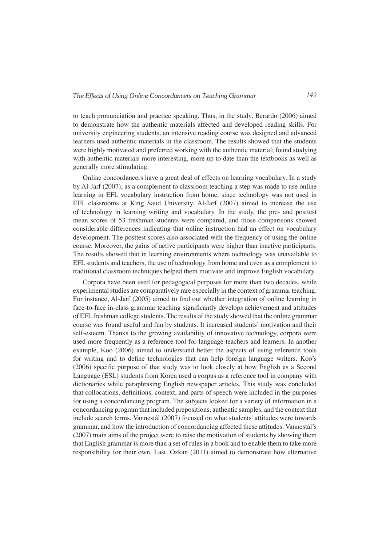to teach pronunciation and practice speaking. Thus, in the study, Berardo (2006) aimed to demonstrate how the authentic materials affected and developed reading skills. For university engineering students, an intensive reading course was designed and advanced learners used authentic materials in the classroom. The results showed that the students were highly motivated and preferred working with the authentic material; found studying with authentic materials more interesting, more up to date than the textbooks as well as generally more stimulating.

Online concordancers have a great deal of effects on learning vocabulary. In a study by Al-Jarf (2007), as a complement to classroom teaching a step was made to use online learning in EFL vocabulary instruction from home, since technology was not used in EFL classrooms at King Saud University. Al-Jarf (2007) aimed to increase the use of technology in learning writing and vocabulary. In the study, the pre- and posttest mean scores of 53 freshman students were compared, and those comparisons showed considerable differences indicating that online instruction had an effect on vocabulary development. The posttest scores also associated with the frequency of using the online course. Moreover, the gains of active participants were higher than inactive participants. The results showed that in learning environments where technology was unavailable to EFL students and teachers, the use of technology from home and even as a complement to traditional classroom techniques helped them motivate and improve English vocabulary.

Corpora have been used for pedagogical purposes for more than two decades, while experimental studies are comparatively rare especially in the context of grammar teaching. For instance, Al-Jarf (2005) aimed to find out whether integration of online learning in face-to-face in-class grammar teaching significantly develops achievement and attitudes of EFLfreshman college students. The results of the study showed that the online grammar course was found useful and fun by students. It increased students' motivation and their self-esteem. Thanks to the growing availability of innovative technology, corpora were used more frequently as a reference tool for language teachers and learners. In another example, Koo (2006) aimed to understand better the aspects of using reference tools for writing and to define technologies that can help foreign language writers. Koo's (2006) specific purpose of that study was to look closely at how English as a Second Language (ESL) students from Korea used a corpus as a reference tool in company with dictionaries while paraphrasing English newspaper articles. This study was concluded that collocations, definitions, context, and parts of speech were included in the purposes for using a concordancing program. The subjects looked for a variety of information in a concordancing program that included prepositions, authentic samples, and the context that include search terms. Vannestål (2007) focused on what students' attitudes were towards grammar, and how the introduction of concordancing affected these attitudes. Vannestål's (2007) main aims of the project were to raise the motivation of students by showing them that English grammar is more than a set of rules in a book and to enable them to take more responsibility for their own. Last, Ozkan (2011) aimed to demonstrate how alternative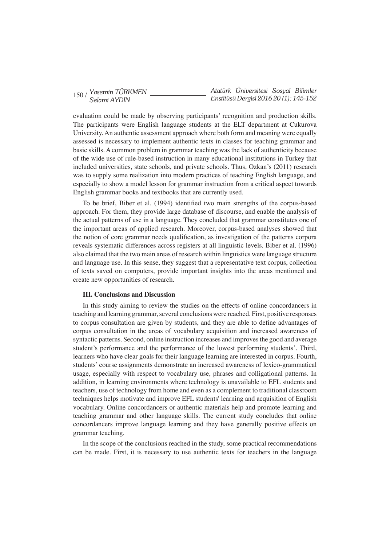|  | $150/$ Yasemin TÜRKMEN |  | Atatürk Universitesi Sosyal Bilimler   |  |
|--|------------------------|--|----------------------------------------|--|
|  | Selami AYDIN           |  | Enstitüsü Dergisi 2016 20 (1): 145-152 |  |

evaluation could be made by observing participants' recognition and production skills. The participants were English language students at the ELT department at Cukurova University.An authentic assessment approach where both form and meaning were equally assessed is necessary to implement authentic texts in classes for teaching grammar and basic skills. A common problem in grammar teaching was the lack of authenticity because of the wide use of rule-based instruction in many educational institutions in Turkey that included universities, state schools, and private schools. Thus, Ozkan's (2011) research was to supply some realization into modern practices of teaching English language, and especially to show a model lesson for grammar instruction from a critical aspect towards English grammar books and textbooks that are currently used.

To be brief, Biber et al. (1994) identified two main strengths of the corpus-based approach. For them, they provide large database of discourse, and enable the analysis of the actual patterns of use in a language. They concluded that grammar constitutes one of the important areas of applied research. Moreover, corpus-based analyses showed that the notion of core grammar needs qualification, as investigation of the patterns corpora reveals systematic differences across registers at all linguistic levels. Biber et al. (1996) also claimed that the two main areas of research within linguistics were language structure and language use. In this sense, they suggest that a representative text corpus, collection of texts saved on computers, provide important insights into the areas mentioned and create new opportunities of research.

#### **III. Conclusions and Discussion**

In this study aiming to review the studies on the effects of online concordancers in teaching and learning grammar, several conclusions were reached. First, positive responses to corpus consultation are given by students, and they are able to define advantages of corpus consultation in the areas of vocabulary acquisition and increased awareness of syntactic patterns. Second, online instruction increases and improves the good and average student's performance and the performance of the lowest performing students'. Third, learners who have clear goals for their language learning are interested in corpus. Fourth, students' course assignments demonstrate an increased awareness of lexico-grammatical usage, especially with respect to vocabulary use, phrases and colligational patterns. In addition, in learning environments where technology is unavailable to EFL students and teachers, use of technology from home and even as a complement to traditional classroom techniques helps motivate and improve EFL students' learning and acquisition of English vocabulary. Online concordancers or authentic materials help and promote learning and teaching grammar and other language skills. The current study concludes that online concordancers improve language learning and they have generally positive effects on grammar teaching.

In the scope of the conclusions reached in the study, some practical recommendations can be made. First, it is necessary to use authentic texts for teachers in the language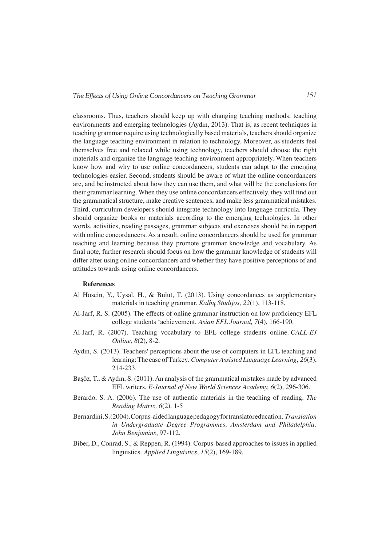classrooms. Thus, teachers should keep up with changing teaching methods, teaching environments and emerging technologies (Aydın, 2013). That is, as recent techniques in teaching grammar require using technologically based materials, teachers should organize the language teaching environment in relation to technology. Moreover, as students feel themselves free and relaxed while using technology, teachers should choose the right materials and organize the language teaching environment appropriately. When teachers know how and why to use online concordancers, students can adapt to the emerging technologies easier. Second, students should be aware of what the online concordancers are, and be instructed about how they can use them, and what will be the conclusions for their grammar learning. When they use online concordancers effectively, they will find out the grammatical structure, make creative sentences, and make less grammatical mistakes. Third, curriculum developers should integrate technology into language curricula. They should organize books or materials according to the emerging technologies. In other words, activities, reading passages, grammar subjects and exercises should be in rapport with online concordancers. As a result, online concordancers should be used for grammar teaching and learning because they promote grammar knowledge and vocabulary. As final note, further research should focus on how the grammar knowledge of students will differ after using online concordancers and whether they have positive perceptions of and attitudes towards using online concordancers.

#### **References**

- Al Hosein, Y., Uysal, H., & Bulut, T. (2013). Using concordances as supplementary materials in teaching grammar. *Kalbų Studijos, 22*(1), 113-118.
- Al-Jarf, R. S. (2005). The effects of online grammar instruction on low proficiency EFL college students 'achievement. *Asian EFL Journal, 7*(4), 166-190.
- Al-Jarf, R. (2007). Teaching vocabulary to EFL college students online. *CALL-EJ Online, 8*(2), 8-2.
- Aydın, S. (2013). Teachers' perceptions about the use of computers in EFL teaching and learning:The case ofTurkey. *Computer Assisted Language Learning*, *26*(3), 214-233.
- Başöz, T., & Aydın, S. (2011). An analysis of the grammatical mistakes made by advanced EFL writers. *E-Journal of New World Sciences Academy, 6*(2), 296-306.
- Berardo, S. A. (2006). The use of authentic materials in the teaching of reading. *The Reading Matrix, 6*(2). 1-5
- Bernardini,S.(2004).Corpus-aidedlanguagepedagogyfortranslatoreducation. *Translation in Undergraduate Degree Programmes. Amsterdam and Philadelphia: John Benjamins*, 97-112.
- Biber, D., Conrad, S., & Reppen, R. (1994). Corpus-based approaches to issues in applied linguistics. *Applied Linguistics*, *15*(2), 169-189.